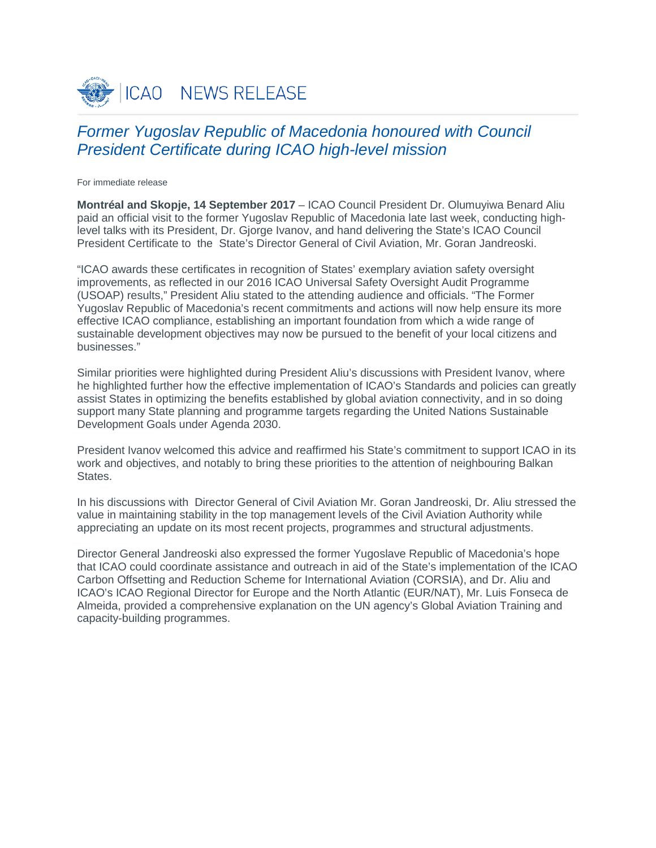

## *Former Yugoslav Republic of Macedonia honoured with Council President Certificate during ICAO high-level mission*

For immediate release

**Montréal and Skopje, 14 September 2017** – ICAO Council President Dr. Olumuyiwa Benard Aliu paid an official visit to the former Yugoslav Republic of Macedonia late last week, conducting highlevel talks with its President, Dr. Gjorge Ivanov, and hand delivering the State's ICAO Council President Certificate to the State's Director General of Civil Aviation, Mr. Goran Jandreoski.

"ICAO awards these certificates in recognition of States' exemplary aviation safety oversight improvements, as reflected in our 2016 ICAO Universal Safety Oversight Audit Programme (USOAP) results," President Aliu stated to the attending audience and officials. "The Former Yugoslav Republic of Macedonia's recent commitments and actions will now help ensure its more effective ICAO compliance, establishing an important foundation from which a wide range of sustainable development objectives may now be pursued to the benefit of your local citizens and businesses."

Similar priorities were highlighted during President Aliu's discussions with President Ivanov, where he highlighted further how the effective implementation of ICAO's Standards and policies can greatly assist States in optimizing the benefits established by global aviation connectivity, and in so doing support many State planning and programme targets regarding the United Nations Sustainable Development Goals under Agenda 2030.

President Ivanov welcomed this advice and reaffirmed his State's commitment to support ICAO in its work and objectives, and notably to bring these priorities to the attention of neighbouring Balkan States.

In his discussions with Director General of Civil Aviation Mr. Goran Jandreoski, Dr. Aliu stressed the value in maintaining stability in the top management levels of the Civil Aviation Authority while appreciating an update on its most recent projects, programmes and structural adjustments.

Director General Jandreoski also expressed the former Yugoslave Republic of Macedonia's hope that ICAO could coordinate assistance and outreach in aid of the State's implementation of the ICAO Carbon Offsetting and Reduction Scheme for International Aviation (CORSIA), and Dr. Aliu and ICAO's ICAO Regional Director for Europe and the North Atlantic (EUR/NAT), Mr. Luis Fonseca de Almeida, provided a comprehensive explanation on the UN agency's Global Aviation Training and capacity-building programmes.